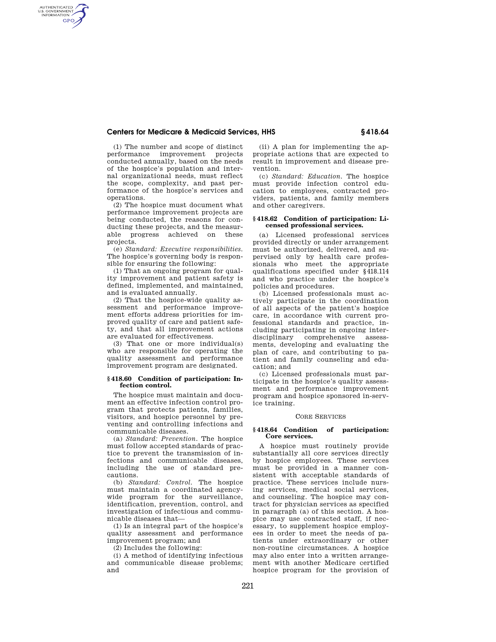# **Centers for Medicare & Medicaid Services, HHS § 418.64**

(1) The number and scope of distinct performance improvement projects conducted annually, based on the needs of the hospice's population and internal organizational needs, must reflect the scope, complexity, and past performance of the hospice's services and operations.

AUTHENTICATED<br>U.S. GOVERNMENT<br>INFORMATION **GPO** 

> (2) The hospice must document what performance improvement projects are being conducted, the reasons for conducting these projects, and the measurable progress achieved on these projects.

(e) *Standard: Executive responsibilities.*  The hospice's governing body is responsible for ensuring the following:

(1) That an ongoing program for quality improvement and patient safety is defined, implemented, and maintained, and is evaluated annually.

(2) That the hospice-wide quality assessment and performance improvement efforts address priorities for improved quality of care and patient safety, and that all improvement actions are evaluated for effectiveness.

(3) That one or more individual(s) who are responsible for operating the quality assessment and performance improvement program are designated.

### **§ 418.60 Condition of participation: Infection control.**

The hospice must maintain and document an effective infection control program that protects patients, families, visitors, and hospice personnel by preventing and controlling infections and communicable diseases.

(a) *Standard: Prevention.* The hospice must follow accepted standards of practice to prevent the transmission of infections and communicable diseases, including the use of standard precautions.

(b) *Standard: Control.* The hospice must maintain a coordinated agencywide program for the surveillance, identification, prevention, control, and investigation of infectious and communicable diseases that—

(1) Is an integral part of the hospice's quality assessment and performance improvement program; and

(2) Includes the following:

(i) A method of identifying infectious and communicable disease problems; and

(ii) A plan for implementing the appropriate actions that are expected to result in improvement and disease prevention.

(c) *Standard: Education.* The hospice must provide infection control education to employees, contracted providers, patients, and family members and other caregivers.

## **§ 418.62 Condition of participation: Licensed professional services.**

(a) Licensed professional services provided directly or under arrangement must be authorized, delivered, and supervised only by health care professionals who meet the appropriate qualifications specified under §418.114 and who practice under the hospice's policies and procedures.

(b) Licensed professionals must actively participate in the coordination of all aspects of the patient's hospice care, in accordance with current professional standards and practice, including participating in ongoing interdisciplinary comprehensive assessments, developing and evaluating the plan of care, and contributing to patient and family counseling and education; and

(c) Licensed professionals must participate in the hospice's quality assessment and performance improvement program and hospice sponsored in-service training.

#### CORE SERVICES

## **§ 418.64 Condition of participation: Core services.**

A hospice must routinely provide substantially all core services directly by hospice employees. These services must be provided in a manner consistent with acceptable standards of practice. These services include nursing services, medical social services, and counseling. The hospice may contract for physician services as specified in paragraph (a) of this section. A hospice may use contracted staff, if necessary, to supplement hospice employees in order to meet the needs of patients under extraordinary or other non-routine circumstances. A hospice may also enter into a written arrangement with another Medicare certified hospice program for the provision of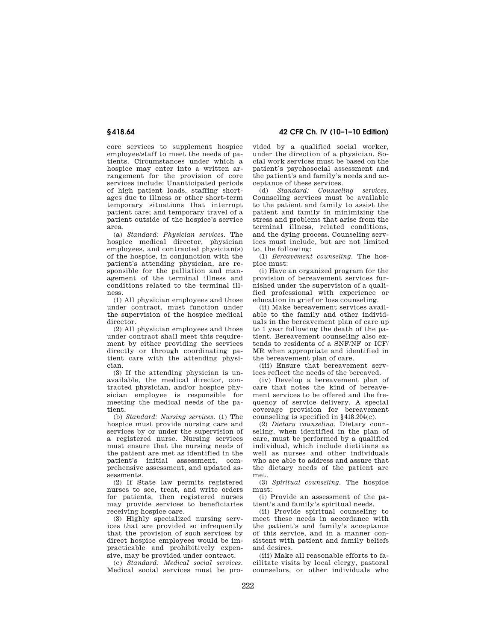# **§ 418.64 42 CFR Ch. IV (10–1–10 Edition)**

core services to supplement hospice employee/staff to meet the needs of patients. Circumstances under which a hospice may enter into a written arrangement for the provision of core services include: Unanticipated periods of high patient loads, staffing shortages due to illness or other short-term temporary situations that interrupt patient care; and temporary travel of a patient outside of the hospice's service area.

(a) *Standard: Physician services.* The hospice medical director, physician employees, and contracted physician(s) of the hospice, in conjunction with the patient's attending physician, are responsible for the palliation and management of the terminal illness and conditions related to the terminal illness.

(1) All physician employees and those under contract, must function under the supervision of the hospice medical director.

(2) All physician employees and those under contract shall meet this requirement by either providing the services directly or through coordinating patient care with the attending physician.

(3) If the attending physician is unavailable, the medical director, contracted physician, and/or hospice physician employee is responsible for meeting the medical needs of the patient.

(b) *Standard: Nursing services.* (1) The hospice must provide nursing care and services by or under the supervision of a registered nurse. Nursing services must ensure that the nursing needs of the patient are met as identified in the patient's initial assessment, comprehensive assessment, and updated assessments.

(2) If State law permits registered nurses to see, treat, and write orders for patients, then registered nurses may provide services to beneficiaries receiving hospice care.

(3) Highly specialized nursing services that are provided so infrequently that the provision of such services by direct hospice employees would be impracticable and prohibitively expensive, may be provided under contract.

(c) *Standard: Medical social services.*  Medical social services must be provided by a qualified social worker, under the direction of a physician. Social work services must be based on the patient's psychosocial assessment and the patient's and family's needs and acceptance of these services.

(d) *Standard: Counseling services.*  Counseling services must be available to the patient and family to assist the patient and family in minimizing the stress and problems that arise from the terminal illness, related conditions, and the dying process. Counseling services must include, but are not limited to, the following:

(1) *Bereavement counseling.* The hospice must:

(i) Have an organized program for the provision of bereavement services furnished under the supervision of a qualified professional with experience or education in grief or loss counseling.

(ii) Make bereavement services available to the family and other individuals in the bereavement plan of care up to 1 year following the death of the patient. Bereavement counseling also extends to residents of a SNF/NF or ICF/ MR when appropriate and identified in the bereavement plan of care.

(iii) Ensure that bereavement services reflect the needs of the bereaved.

(iv) Develop a bereavement plan of care that notes the kind of bereavement services to be offered and the frequency of service delivery. A special coverage provision for bereavement counseling is specified in §418.204(c).

(2) *Dietary counseling.* Dietary counseling, when identified in the plan of care, must be performed by a qualified individual, which include dietitians as well as nurses and other individuals who are able to address and assure that the dietary needs of the patient are met.

(3) *Spiritual counseling.* The hospice must:

(i) Provide an assessment of the patient's and family's spiritual needs.

(ii) Provide spiritual counseling to meet these needs in accordance with the patient's and family's acceptance of this service, and in a manner consistent with patient and family beliefs and desires.

(iii) Make all reasonable efforts to facilitate visits by local clergy, pastoral counselors, or other individuals who